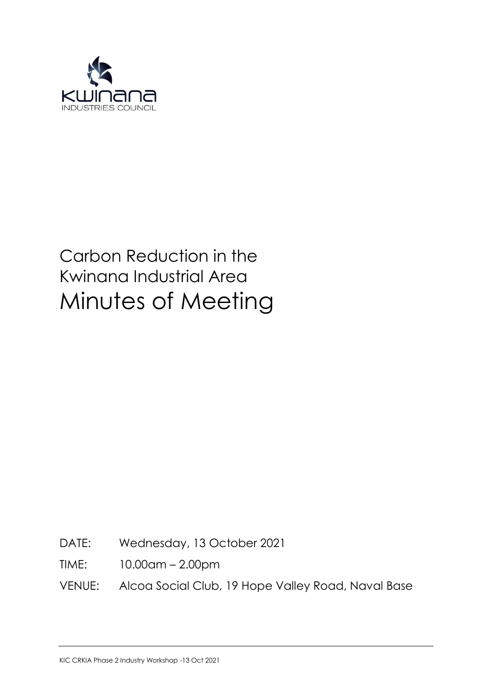

# Carbon Reduction in the Kwinana Industrial Area Minutes of Meeting

DATE: Wednesday, 13 October 2021

TIME: 10.00am – 2.00pm

VENUE: Alcoa Social Club, 19 Hope Valley Road, Naval Base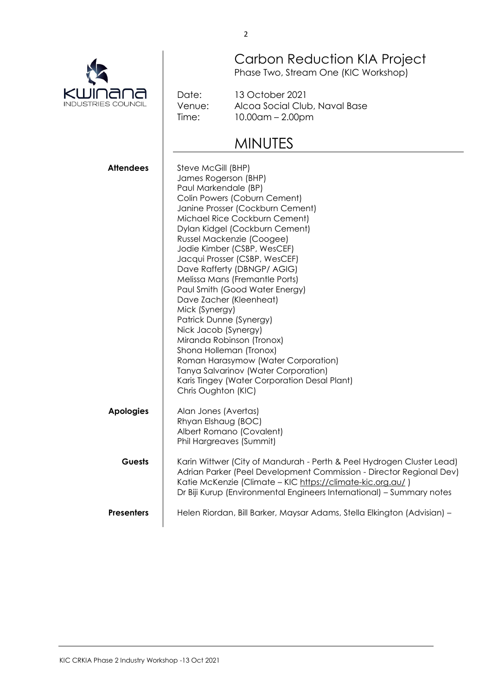Carbon Reduction KIA Project Phase Two, Stream One (KIC Workshop)

Date: Venue: Time:

13 October 2021 Alcoa Social Club, Naval Base 10.00am – 2.00pm

# MINUTES

| <b>Attendees</b>  | Steve McGill (BHP)<br>James Rogerson (BHP)<br>Paul Markendale (BP)<br>Colin Powers (Coburn Cement)<br>Janine Prosser (Cockburn Cement)<br>Michael Rice Cockburn Cement)<br>Dylan Kidgel (Cockburn Cement)<br>Russel Mackenzie (Coogee)<br>Jodie Kimber (CSBP, WesCEF)<br>Jacqui Prosser (CSBP, WesCEF)<br>Dave Rafferty (DBNGP/ AGIG)<br>Melissa Mans (Fremantle Ports)<br>Paul Smith (Good Water Energy)<br>Dave Zacher (Kleenheat)<br>Mick (Synergy)<br>Patrick Dunne (Synergy)<br>Nick Jacob (Synergy)<br>Miranda Robinson (Tronox)<br>Shona Holleman (Tronox)<br>Roman Harasymow (Water Corporation)<br>Tanya Salvarinov (Water Corporation)<br>Karis Tingey (Water Corporation Desal Plant)<br>Chris Oughton (KIC) |
|-------------------|-------------------------------------------------------------------------------------------------------------------------------------------------------------------------------------------------------------------------------------------------------------------------------------------------------------------------------------------------------------------------------------------------------------------------------------------------------------------------------------------------------------------------------------------------------------------------------------------------------------------------------------------------------------------------------------------------------------------------|
| <b>Apologies</b>  | Alan Jones (Avertas)<br>Rhyan Elshaug (BOC)<br>Albert Romano (Covalent)<br>Phil Hargreaves (Summit)                                                                                                                                                                                                                                                                                                                                                                                                                                                                                                                                                                                                                     |
| Guests            | Karin Wittwer (City of Mandurah - Perth & Peel Hydrogen Cluster Lead)<br>Adrian Parker (Peel Development Commission - Director Regional Dev)<br>Katie McKenzie (Climate - KIC https://climate-kic.org.au/)<br>Dr Biji Kurup (Environmental Engineers International) - Summary notes                                                                                                                                                                                                                                                                                                                                                                                                                                     |
| <b>Presenters</b> | Helen Riordan, Bill Barker, Maysar Adams, Stella Elkington (Advisian) -                                                                                                                                                                                                                                                                                                                                                                                                                                                                                                                                                                                                                                                 |

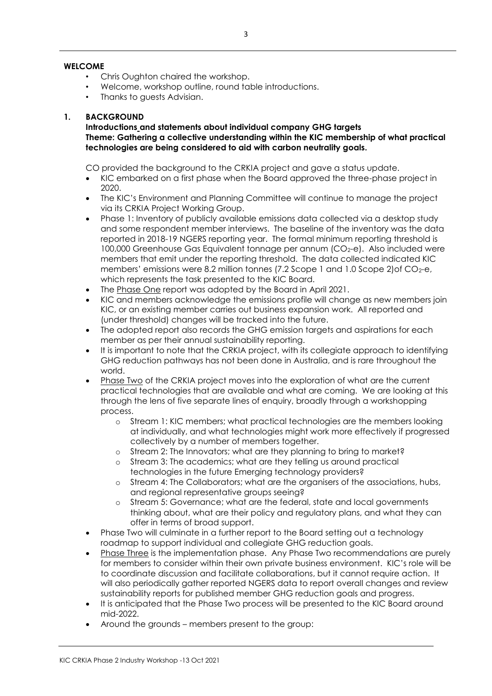#### **WELCOME**

- Chris Oughton chaired the workshop.
- Welcome, workshop outline, round table introductions.
- Thanks to quests Advisian.

#### **1. BACKGROUND**

**Introductions and statements about individual company GHG targets Theme: Gathering a collective understanding within the KIC membership of what practical technologies are being considered to aid with carbon neutrality goals.**

CO provided the background to the CRKIA project and gave a status update.

- KIC embarked on a first phase when the Board approved the three-phase project in 2020.
- The KIC's Environment and Planning Committee will continue to manage the project via its CRKIA Project Working Group.
- Phase 1: Inventory of publicly available emissions data collected via a desktop study and some respondent member interviews. The baseline of the inventory was the data reported in 2018-19 NGERS reporting year. The formal minimum reporting threshold is 100,000 Greenhouse Gas Equivalent tonnage per annum (CO<sub>2</sub>-e). Also included were members that emit under the reporting threshold. The data collected indicated KIC members' emissions were 8.2 million tonnes (7.2 Scope 1 and 1.0 Scope 2) of  $CO<sub>2</sub>$ -e, which represents the task presented to the KIC Board.
- The Phase One report was adopted by the Board in April 2021.
- KIC and members acknowledge the emissions profile will change as new members join KIC, or an existing member carries out business expansion work. All reported and (under threshold) changes will be tracked into the future.
- The adopted report also records the GHG emission targets and aspirations for each member as per their annual sustainability reporting.
- It is important to note that the CRKIA project, with its collegiate approach to identifying GHG reduction pathways has not been done in Australia, and is rare throughout the world.
- Phase Two of the CRKIA project moves into the exploration of what are the current practical technologies that are available and what are coming. We are looking at this through the lens of five separate lines of enquiry, broadly through a workshopping process.
	- o Stream 1: KIC members; what practical technologies are the members looking at individually, and what technologies might work more effectively if progressed collectively by a number of members together.
	- o Stream 2: The Innovators; what are they planning to bring to market?
	- o Stream 3: The academics; what are they telling us around practical technologies in the future Emerging technology providers?
	- o Stream 4: The Collaborators; what are the organisers of the associations, hubs, and regional representative groups seeing?
	- o Stream 5: Governance; what are the federal, state and local governments thinking about, what are their policy and regulatory plans, and what they can offer in terms of broad support.
- Phase Two will culminate in a further report to the Board setting out a technology roadmap to support individual and collegiate GHG reduction goals.
- Phase Three is the implementation phase. Any Phase Two recommendations are purely for members to consider within their own private business environment. KIC's role will be to coordinate discussion and facilitate collaborations, but it cannot require action. It will also periodically gather reported NGERS data to report overall changes and review sustainability reports for published member GHG reduction goals and progress.
- It is anticipated that the Phase Two process will be presented to the KIC Board around mid-2022.
- Around the grounds members present to the group: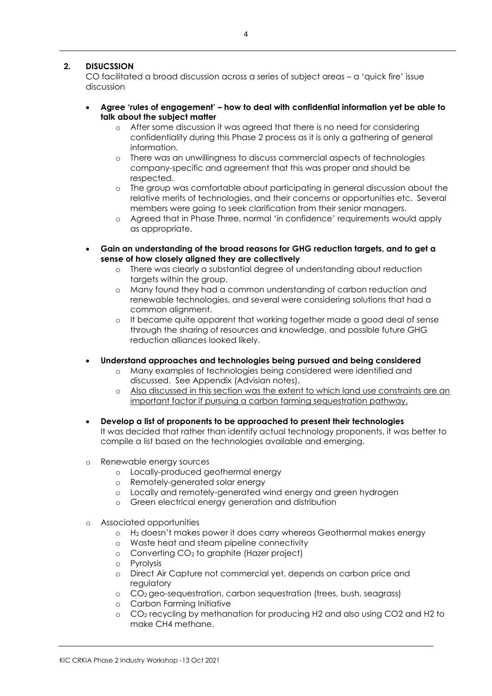# **2. DISUCSSION**

CO facilitated a broad discussion across a series of subject areas – a 'quick fire' issue discussion

- **Agree 'rules of engagement' – how to deal with confidential information yet be able to talk about the subject matter**
	- o After some discussion it was agreed that there is no need for considering confidentiality during this Phase 2 process as it is only a gathering of general information.
	- o There was an unwillingness to discuss commercial aspects of technologies company-specific and agreement that this was proper and should be respected.
	- o The group was comfortable about participating in general discussion about the relative merits of technologies, and their concerns or opportunities etc. Several members were going to seek clarification from their senior managers.
	- o Agreed that in Phase Three, normal 'in confidence' requirements would apply as appropriate.
- **Gain an understanding of the broad reasons for GHG reduction targets, and to get a sense of how closely aligned they are collectively** 
	- o There was clearly a substantial degree of understanding about reduction targets within the group.
	- o Many found they had a common understanding of carbon reduction and renewable technologies, and several were considering solutions that had a common alignment.
	- o It became quite apparent that working together made a good deal of sense through the sharing of resources and knowledge, and possible future GHG reduction alliances looked likely.
- **Understand approaches and technologies being pursued and being considered**
	- o Many examples of technologies being considered were identified and discussed. See Appendix (Advisian notes).
	- o Also discussed in this section was the extent to which land use constraints are an important factor if pursuing a carbon farming sequestration pathway.
- **Develop a list of proponents to be approached to present their technologies** It was decided that rather than identify actual technology proponents, it was better to compile a list based on the technologies available and emerging.
- o Renewable energy sources
	- o Locally-produced geothermal energy
	- o Remotely-generated solar energy
	- o Locally and remotely-generated wind energy and green hydrogen
	- o Green electrical energy generation and distribution
- o Associated opportunities
	- o H<sup>2</sup> doesn't makes power it does carry whereas Geothermal makes energy
	- o Waste heat and steam pipeline connectivity
	- $\circ$  Converting CO<sub>2</sub> to graphite (Hazer project)
	- o Pyrolysis
	- o Direct Air Capture not commercial yet, depends on carbon price and regulatory
	- o CO2 geo-sequestration, carbon sequestration (trees, bush, seagrass)
	- o Carbon Farming Initiative
	- o CO<sup>2</sup> recycling by methanation for producing H2 and also using CO2 and H2 to make CH4 methane.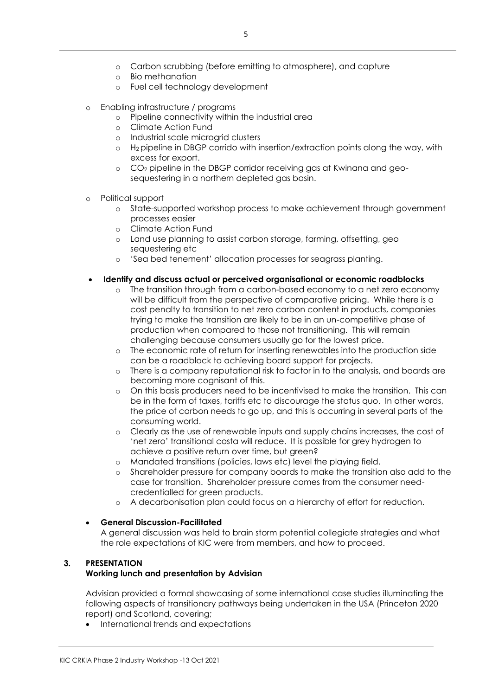- o Carbon scrubbing (before emitting to atmosphere), and capture
- o Bio methanation
- o Fuel cell technology development
- o Enabling infrastructure / programs
	- o Pipeline connectivity within the industrial area
	- o Climate Action Fund
	- o Industrial scale microgrid clusters
	- o H2 pipeline in DBGP corrido with insertion/extraction points along the way, with excess for export.
	- o CO<sup>2</sup> pipeline in the DBGP corridor receiving gas at Kwinana and geosequestering in a northern depleted gas basin.
- o Political support
	- o State-supported workshop process to make achievement through government processes easier
	- o Climate Action Fund
	- o Land use planning to assist carbon storage, farming, offsetting, geo sequestering etc
	- o 'Sea bed tenement' allocation processes for seagrass planting.
- **Identify and discuss actual or perceived organisational or economic roadblocks**
	- o The transition through from a carbon-based economy to a net zero economy will be difficult from the perspective of comparative pricing. While there is a cost penalty to transition to net zero carbon content in products, companies trying to make the transition are likely to be in an un-competitive phase of production when compared to those not transitioning. This will remain challenging because consumers usually go for the lowest price.
	- o The economic rate of return for inserting renewables into the production side can be a roadblock to achieving board support for projects.
	- o There is a company reputational risk to factor in to the analysis, and boards are becoming more cognisant of this.
	- o On this basis producers need to be incentivised to make the transition. This can be in the form of taxes, tariffs etc to discourage the status quo. In other words, the price of carbon needs to go up, and this is occurring in several parts of the consuming world.
	- o Clearly as the use of renewable inputs and supply chains increases, the cost of 'net zero' transitional costa will reduce. It is possible for grey hydrogen to achieve a positive return over time, but green?
	- o Mandated transitions (policies, laws etc) level the playing field.
	- o Shareholder pressure for company boards to make the transition also add to the case for transition. Shareholder pressure comes from the consumer needcredentialled for green products.
	- o A decarbonisation plan could focus on a hierarchy of effort for reduction.

# **General Discussion-Facilitated**

A general discussion was held to brain storm potential collegiate strategies and what the role expectations of KIC were from members, and how to proceed.

#### **3. PRESENTATION Working lunch and presentation by Advisian**

Advisian provided a formal showcasing of some international case studies illuminating the following aspects of transitionary pathways being undertaken in the USA (Princeton 2020 report) and Scotland, covering;

• International trends and expectations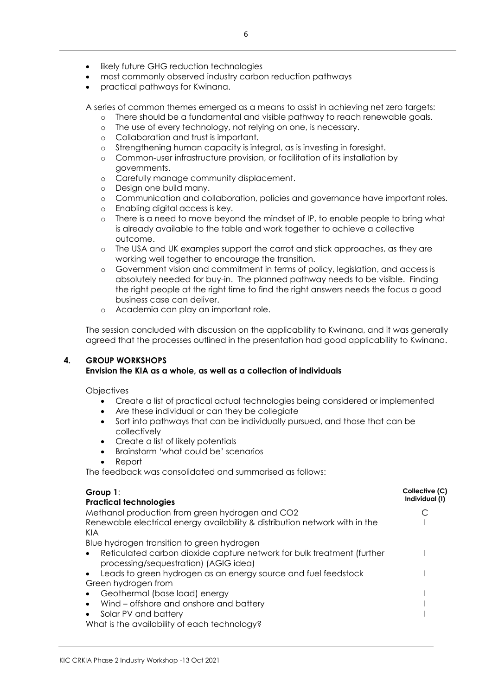- likely future GHG reduction technologies
- most commonly observed industry carbon reduction pathways
- practical pathways for Kwinana.

A series of common themes emerged as a means to assist in achieving net zero targets:

- o There should be a fundamental and visible pathway to reach renewable goals.
- o The use of every technology, not relying on one, is necessary.
- o Collaboration and trust is important.
- o Strengthening human capacity is integral, as is investing in foresight.
- o Common-user infrastructure provision, or facilitation of its installation by governments.
- o Carefully manage community displacement.
- o Design one build many.
- o Communication and collaboration, policies and governance have important roles.
- o Enabling digital access is key.
- o There is a need to move beyond the mindset of IP, to enable people to bring what is already available to the table and work together to achieve a collective outcome.
- o The USA and UK examples support the carrot and stick approaches, as they are working well together to encourage the transition.
- o Government vision and commitment in terms of policy, legislation, and access is absolutely needed for buy-in. The planned pathway needs to be visible. Finding the right people at the right time to find the right answers needs the focus a good business case can deliver.
- o Academia can play an important role.

The session concluded with discussion on the applicability to Kwinana, and it was generally agreed that the processes outlined in the presentation had good applicability to Kwinana.

# **4. GROUP WORKSHOPS**

# **Envision the KIA as a whole, as well as a collection of individuals**

**Objectives** 

- Create a list of practical actual technologies being considered or implemented
- Are these individual or can they be collegiate
- Sort into pathways that can be individually pursued, and those that can be collectively
- Create a list of likely potentials
- Brainstorm 'what could be' scenarios
- Report

The feedback was consolidated and summarised as follows:

| Group $1$ :                                                                                                     | Collective (C)<br>Individual (I) |
|-----------------------------------------------------------------------------------------------------------------|----------------------------------|
| <b>Practical technologies</b>                                                                                   |                                  |
| Methanol production from green hydrogen and CO2                                                                 |                                  |
| Renewable electrical energy availability & distribution network with in the<br>KIA                              |                                  |
| Blue hydrogen transition to green hydrogen                                                                      |                                  |
| Reticulated carbon dioxide capture network for bulk treatment (further<br>processing/sequestration) (AGIG idea) |                                  |
| Leads to green hydrogen as an energy source and fuel feedstock                                                  |                                  |
| Green hydrogen from                                                                                             |                                  |
| Geothermal (base load) energy                                                                                   |                                  |
| Wind – offshore and onshore and battery                                                                         |                                  |
| Solar PV and battery                                                                                            |                                  |
| What is the availability of each technology?                                                                    |                                  |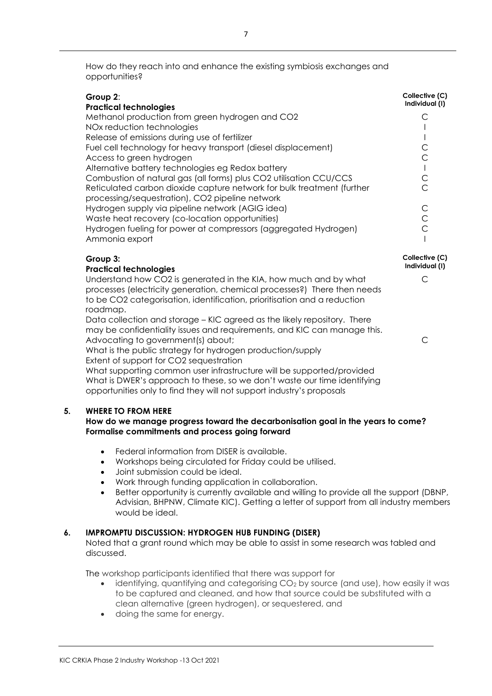How do they reach into and enhance the existing symbiosis exchanges and opportunities?

| Group 2:<br><b>Practical technologies</b>                                                                                 | Collective (C)<br>Individual (I) |
|---------------------------------------------------------------------------------------------------------------------------|----------------------------------|
| Methanol production from green hydrogen and CO2                                                                           |                                  |
| NOx reduction technologies                                                                                                |                                  |
| Release of emissions during use of fertilizer                                                                             |                                  |
| Fuel cell technology for heavy transport (diesel displacement)                                                            |                                  |
| Access to green hydrogen                                                                                                  |                                  |
| Alternative battery technologies eg Redox battery                                                                         |                                  |
| Combustion of natural gas (all forms) plus CO2 utilisation CCU/CCS                                                        |                                  |
| Reticulated carbon dioxide capture network for bulk treatment (further<br>processing/sequestration), CO2 pipeline network |                                  |
| Hydrogen supply via pipeline network (AGIG idea)                                                                          |                                  |
| Waste heat recovery (co-location opportunities)                                                                           |                                  |
| Hydrogen fueling for power at compressors (aggregated Hydrogen)                                                           |                                  |
| Ammonia export                                                                                                            |                                  |
| Group 3:<br><b>Dractical tochnologies</b>                                                                                 | Collective (C)<br>Individual (I) |

C

C

#### **Practical technologies**

Understand how CO2 is generated in the KIA, how much and by what processes (electricity generation, chemical processes?) There then needs to be CO2 categorisation, identification, prioritisation and a reduction roadmap.

Data collection and storage – KIC agreed as the likely repository. There may be confidentiality issues and requirements, and KIC can manage this. Advocating to government(s) about;

What is the public strategy for hydrogen production/supply Extent of support for CO2 sequestration

What supporting common user infrastructure will be supported/provided What is DWER's approach to these, so we don't waste our time identifying opportunities only to find they will not support industry's proposals

#### **5. WHERE TO FROM HERE**

#### **How do we manage progress toward the decarbonisation goal in the years to come? Formalise commitments and process going forward**

- Federal information from DISER is available.
- Workshops being circulated for Friday could be utilised.
- Joint submission could be ideal.
- Work through funding application in collaboration.
- Better opportunity is currently available and willing to provide all the support (DBNP, Advisian, BHPNW, Climate KIC). Getting a letter of support from all industry members would be ideal.

# **6. IMPROMPTU DISCUSSION: HYDROGEN HUB FUNDING (DISER)**

Noted that a grant round which may be able to assist in some research was tabled and discussed.

The workshop participants identified that there was support for

- identifying, quantifying and categorising CO<sub>2</sub> by source (and use), how easily it was to be captured and cleaned, and how that source could be substituted with a clean alternative (green hydrogen), or sequestered, and
- doing the same for energy.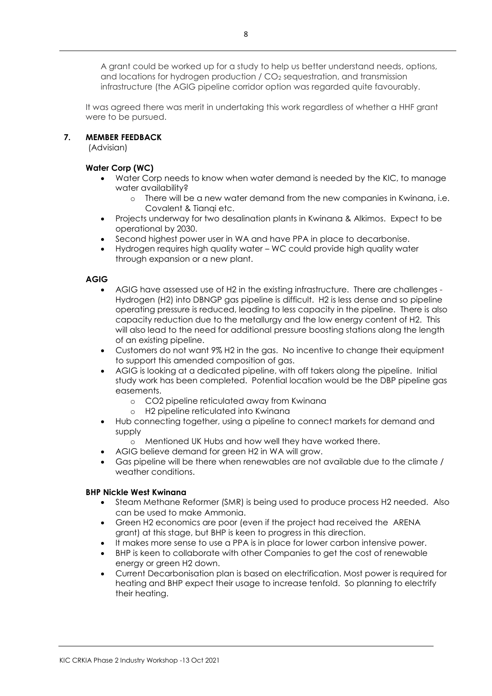A grant could be worked up for a study to help us better understand needs, options, and locations for hydrogen production / CO<sub>2</sub> sequestration, and transmission infrastructure (the AGIG pipeline corridor option was regarded quite favourably.

It was agreed there was merit in undertaking this work regardless of whether a HHF grant were to be pursued.

#### **7. MEMBER FEEDBACK**

(Advisian)

# **Water Corp (WC)**

- Water Corp needs to know when water demand is needed by the KIC, to manage water availability?
	- o There will be a new water demand from the new companies in Kwinana, i.e. Covalent & Tianqi etc.
- Projects underway for two desalination plants in Kwinana & Alkimos. Expect to be operational by 2030.
- Second highest power user in WA and have PPA in place to decarbonise.
- Hydrogen requires high quality water WC could provide high quality water through expansion or a new plant.

#### **AGIG**

- AGIG have assessed use of H2 in the existing infrastructure. There are challenges Hydrogen (H2) into DBNGP gas pipeline is difficult. H2 is less dense and so pipeline operating pressure is reduced, leading to less capacity in the pipeline. There is also capacity reduction due to the metallurgy and the low energy content of H2. This will also lead to the need for additional pressure boosting stations along the length of an existing pipeline.
- Customers do not want 9% H2 in the gas. No incentive to change their equipment to support this amended composition of gas.
- AGIG is looking at a dedicated pipeline, with off takers along the pipeline. Initial study work has been completed. Potential location would be the DBP pipeline gas easements.
	- o CO2 pipeline reticulated away from Kwinana
	- o H2 pipeline reticulated into Kwinana
- Hub connecting together, using a pipeline to connect markets for demand and supply
	- o Mentioned UK Hubs and how well they have worked there.
- AGIG believe demand for green H2 in WA will grow.
- Gas pipeline will be there when renewables are not available due to the climate / weather conditions.

# **BHP Nickle West Kwinana**

- Steam Methane Reformer (SMR) is being used to produce process H2 needed. Also can be used to make Ammonia.
- Green H2 economics are poor (even if the project had received the ARENA grant) at this stage, but BHP is keen to progress in this direction.
- It makes more sense to use a PPA is in place for lower carbon intensive power.
- BHP is keen to collaborate with other Companies to get the cost of renewable energy or green H2 down.
- Current Decarbonisation plan is based on electrification. Most power is required for heating and BHP expect their usage to increase tenfold. So planning to electrify their heating.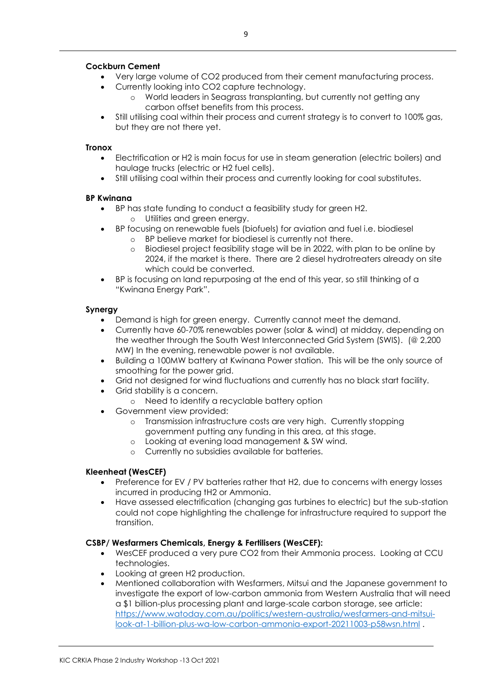#### **Cockburn Cement**

- Very large volume of CO2 produced from their cement manufacturing process.
- Currently looking into CO2 capture technology.
	- o World leaders in Seagrass transplanting, but currently not getting any carbon offset benefits from this process.
- Still utilising coal within their process and current strategy is to convert to 100% gas, but they are not there yet.

#### **Tronox**

- Electrification or H2 is main focus for use in steam generation (electric boilers) and haulage trucks (electric or H2 fuel cells).
- Still utilising coal within their process and currently looking for coal substitutes.

#### **BP Kwinana**

- BP has state funding to conduct a feasibility study for green H2. o Utilities and green energy.
- BP focusing on renewable fuels (biofuels) for aviation and fuel i.e. biodiesel
	- o BP believe market for biodiesel is currently not there.
		- o Biodiesel project feasibility stage will be in 2022, with plan to be online by 2024, if the market is there. There are 2 diesel hydrotreaters already on site which could be converted.
- BP is focusing on land repurposing at the end of this year, so still thinking of a "Kwinana Energy Park".

#### **Synergy**

- Demand is high for green energy. Currently cannot meet the demand.
- Currently have 60-70% renewables power (solar & wind) at midday, depending on the weather through the South West Interconnected Grid System (SWIS). (@ 2,200 MW) In the evening, renewable power is not available.
- Building a 100MW battery at Kwinana Power station. This will be the only source of smoothing for the power grid.
- Grid not designed for wind fluctuations and currently has no black start facility.
- Grid stability is a concern.
	- o Need to identify a recyclable battery option
- Government view provided:
	- o Transmission infrastructure costs are very high. Currently stopping government putting any funding in this area, at this stage.
	- o Looking at evening load management & SW wind.
	- o Currently no subsidies available for batteries.

#### **Kleenheat (WesCEF)**

- Preference for EV / PV batteries rather that H2, due to concerns with energy losses incurred in producing tH2 or Ammonia.
- Have assessed electrification (changing gas turbines to electric) but the sub-station could not cope highlighting the challenge for infrastructure required to support the transition.

#### **CSBP/ Wesfarmers Chemicals, Energy & Fertilisers (WesCEF):**

- WesCEF produced a very pure CO2 from their Ammonia process. Looking at CCU technologies.
- Looking at green H2 production.
- Mentioned collaboration with Wesfarmers, Mitsui and the Japanese government to investigate the export of low-carbon ammonia from Western Australia that will need a \$1 billion-plus processing plant and large-scale carbon storage, see article: [https://www.watoday.com.au/politics/western-australia/wesfarmers-and-mitsui](https://www.watoday.com.au/politics/western-australia/wesfarmers-and-mitsui-look-at-1-billion-plus-wa-low-carbon-ammonia-export-20211003-p58wsn.html)[look-at-1-billion-plus-wa-low-carbon-ammonia-export-20211003-p58wsn.html](https://www.watoday.com.au/politics/western-australia/wesfarmers-and-mitsui-look-at-1-billion-plus-wa-low-carbon-ammonia-export-20211003-p58wsn.html) .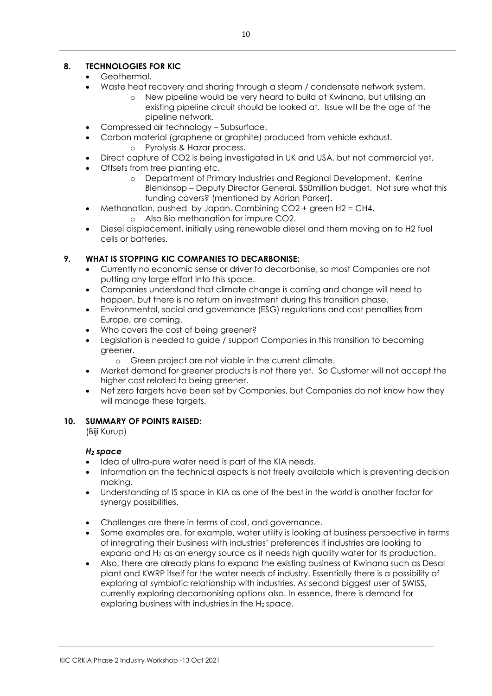# **8. TECHNOLOGIES FOR KIC**

- Geothermal.
- Waste heat recovery and sharing through a steam / condensate network system.
	- o New pipeline would be very heard to build at Kwinana, but utilising an existing pipeline circuit should be looked at. Issue will be the age of the pipeline network.
- Compressed air technology Subsurface.
- Carbon material (graphene or graphite) produced from vehicle exhaust.
	- o Pyrolysis & Hazar process.
- Direct capture of CO2 is being investigated in UK and USA, but not commercial yet.
- Offsets from tree planting etc.
	- o Department of Primary Industries and Regional Development. Kerrine Blenkinsop – Deputy Director General. \$50million budget. Not sure what this funding covers? (mentioned by Adrian Parker).
- Methanation, pushed by Japan. Combining CO2 + green H2 = CH4. o Also Bio methanation for impure CO2.
- Diesel displacement, initially using renewable diesel and them moving on to H2 fuel cells or batteries.

# **9. WHAT IS STOPPING KIC COMPANIES TO DECARBONISE:**

- Currently no economic sense or driver to decarbonise, so most Companies are not putting any large effort into this space.
- Companies understand that climate change is coming and change will need to happen, but there is no return on investment during this transition phase.
- Environmental, social and governance (ESG) regulations and cost penalties from Europe, are coming.
- Who covers the cost of being greener?
- Legislation is needed to guide / support Companies in this transition to becoming greener.
	- o Green project are not viable in the current climate.
- Market demand for greener products is not there yet. So Customer will not accept the higher cost related to being greener.
- Net zero targets have been set by Companies, but Companies do not know how they will manage these targets.

# **10. SUMMARY OF POINTS RAISED:**

(Biji Kurup)

# *H<sup>2</sup> space*

- Idea of ultra-pure water need is part of the KIA needs.
- Information on the technical aspects is not freely available which is preventing decision making.
- Understanding of IS space in KIA as one of the best in the world is another factor for synergy possibilities.
- Challenges are there in terms of cost, and governance.
- Some examples are, for example, water utility is looking at business perspective in terms of integrating their business with industries' preferences if industries are looking to expand and H<sub>2</sub> as an energy source as it needs high quality water for its production.
- Also, there are already plans to expand the existing business at Kwinana such as Desal plant and KWRP itself for the water needs of industry. Essentially there is a possibility of exploring at symbiotic relationship with industries. As second biggest user of SWISS, currently exploring decarbonising options also. In essence, there is demand for exploring business with industries in the H2 space.